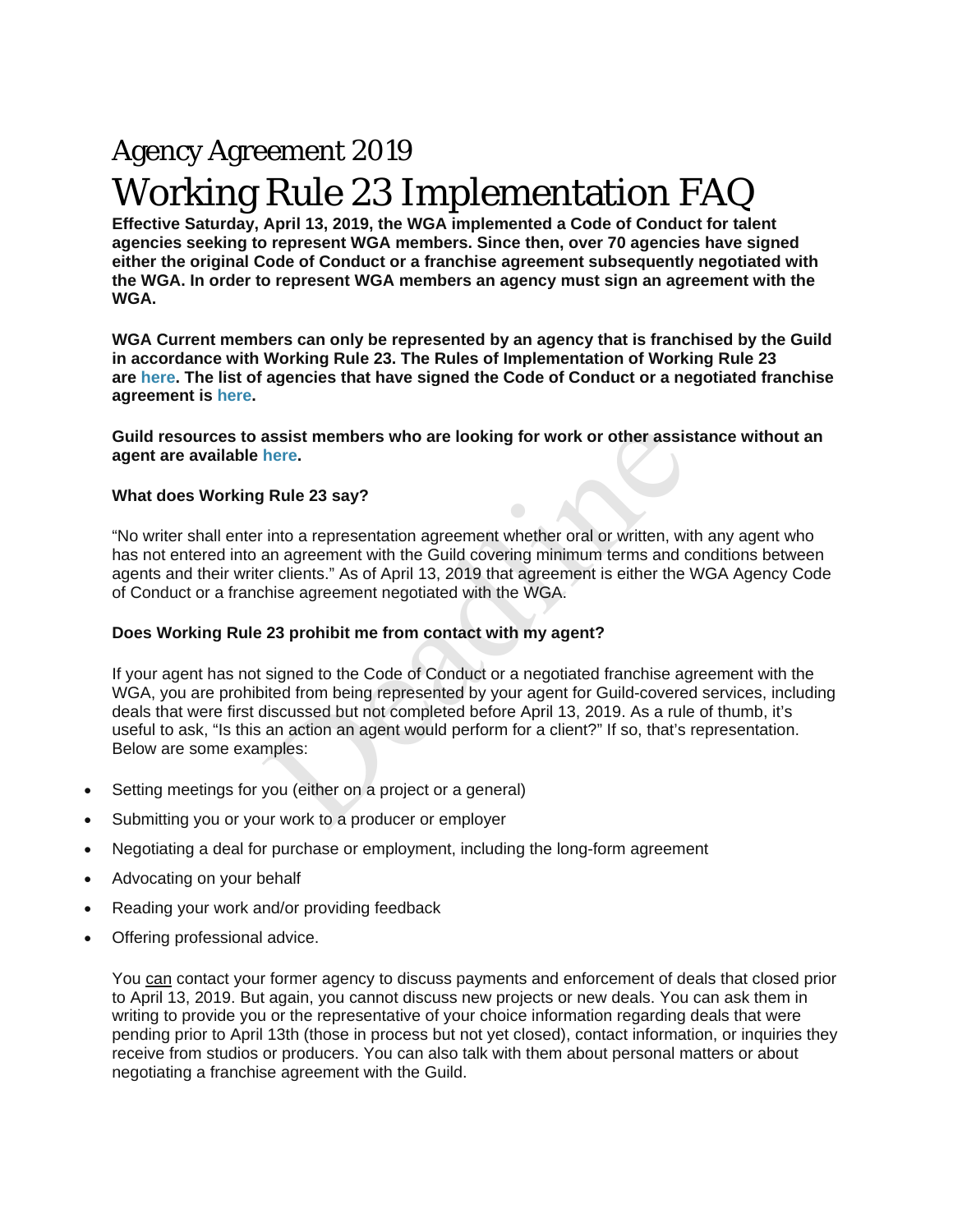# Agency Agreement 2019 Working Rule 23 Implementation FAQ

**Effective Saturday, April 13, 2019, the WGA implemented a Code of Conduct for talent agencies seeking to represent WGA members. Since then, over 70 agencies have signed either the original Code of Conduct or a franchise agreement subsequently negotiated with the WGA. In order to represent WGA members an agency must sign an agreement with the WGA.**

**WGA Current members can only be represented by an agency that is franchised by the Guild in accordance with Working Rule 23. The Rules of Implementation of Working Rule 23 are here. The list of agencies that have signed the Code of Conduct or a negotiated franchise agreement is here.**

**Guild resources to assist members who are looking for work or other assistance without an agent are available here.**

# **What does Working Rule 23 say?**

"No writer shall enter into a representation agreement whether oral or written, with any agent who has not entered into an agreement with the Guild covering minimum terms and conditions between agents and their writer clients." As of April 13, 2019 that agreement is either the WGA Agency Code of Conduct or a franchise agreement negotiated with the WGA.

# **Does Working Rule 23 prohibit me from contact with my agent?**

If your agent has not signed to the Code of Conduct or a negotiated franchise agreement with the WGA, you are prohibited from being represented by your agent for Guild-covered services, including deals that were first discussed but not completed before April 13, 2019. As a rule of thumb, it's useful to ask, "Is this an action an agent would perform for a client?" If so, that's representation. Below are some examples: assist members who are looking for work or other assis<br>here.<br>
Rule 23 say?<br>
into a representation agreement whether oral or written, with<br>
an agreement with the Guild covering minimum terms and c<br>
are clients." As of April

- Setting meetings for you (either on a project or a general)
- Submitting you or your work to a producer or employer
- Negotiating a deal for purchase or employment, including the long-form agreement
- Advocating on your behalf
- Reading your work and/or providing feedback
- Offering professional advice.

You can contact your former agency to discuss payments and enforcement of deals that closed prior to April 13, 2019. But again, you cannot discuss new projects or new deals. You can ask them in writing to provide you or the representative of your choice information regarding deals that were pending prior to April 13th (those in process but not yet closed), contact information, or inquiries they receive from studios or producers. You can also talk with them about personal matters or about negotiating a franchise agreement with the Guild.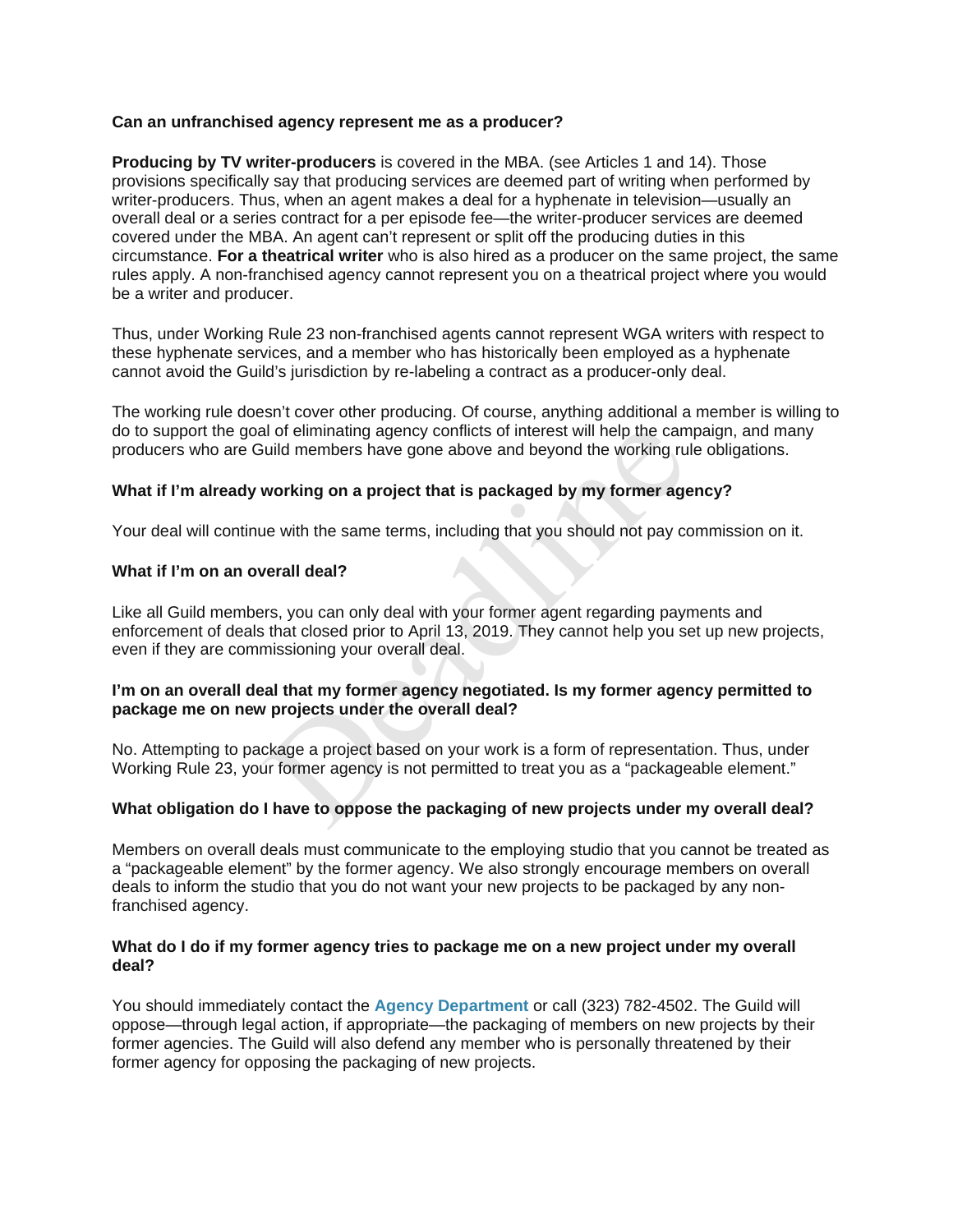## **Can an unfranchised agency represent me as a producer?**

**Producing by TV writer-producers** is covered in the MBA. (see Articles 1 and 14). Those provisions specifically say that producing services are deemed part of writing when performed by writer-producers. Thus, when an agent makes a deal for a hyphenate in television—usually an overall deal or a series contract for a per episode fee—the writer-producer services are deemed covered under the MBA. An agent can't represent or split off the producing duties in this circumstance. **For a theatrical writer** who is also hired as a producer on the same project, the same rules apply. A non-franchised agency cannot represent you on a theatrical project where you would be a writer and producer.

Thus, under Working Rule 23 non-franchised agents cannot represent WGA writers with respect to these hyphenate services, and a member who has historically been employed as a hyphenate cannot avoid the Guild's jurisdiction by re-labeling a contract as a producer-only deal.

The working rule doesn't cover other producing. Of course, anything additional a member is willing to do to support the goal of eliminating agency conflicts of interest will help the campaign, and many producers who are Guild members have gone above and beyond the working rule obligations.

## **What if I'm already working on a project that is packaged by my former agency?**

Your deal will continue with the same terms, including that you should not pay commission on it.

## **What if I'm on an overall deal?**

Like all Guild members, you can only deal with your former agent regarding payments and enforcement of deals that closed prior to April 13, 2019. They cannot help you set up new projects, even if they are commissioning your overall deal. al of eliminating agency conflicts of interest will help the cample working on a project that is packaged by my former age<br>working on a project that is packaged by my former age<br>working on a project that is packaged by my

## **I'm on an overall deal that my former agency negotiated. Is my former agency permitted to package me on new projects under the overall deal?**

No. Attempting to package a project based on your work is a form of representation. Thus, under Working Rule 23, your former agency is not permitted to treat you as a "packageable element."

# **What obligation do I have to oppose the packaging of new projects under my overall deal?**

Members on overall deals must communicate to the employing studio that you cannot be treated as a "packageable element" by the former agency. We also strongly encourage members on overall deals to inform the studio that you do not want your new projects to be packaged by any nonfranchised agency.

## **What do I do if my former agency tries to package me on a new project under my overall deal?**

You should immediately contact the **Agency Department** or call (323) 782-4502. The Guild will oppose—through legal action, if appropriate—the packaging of members on new projects by their former agencies. The Guild will also defend any member who is personally threatened by their former agency for opposing the packaging of new projects.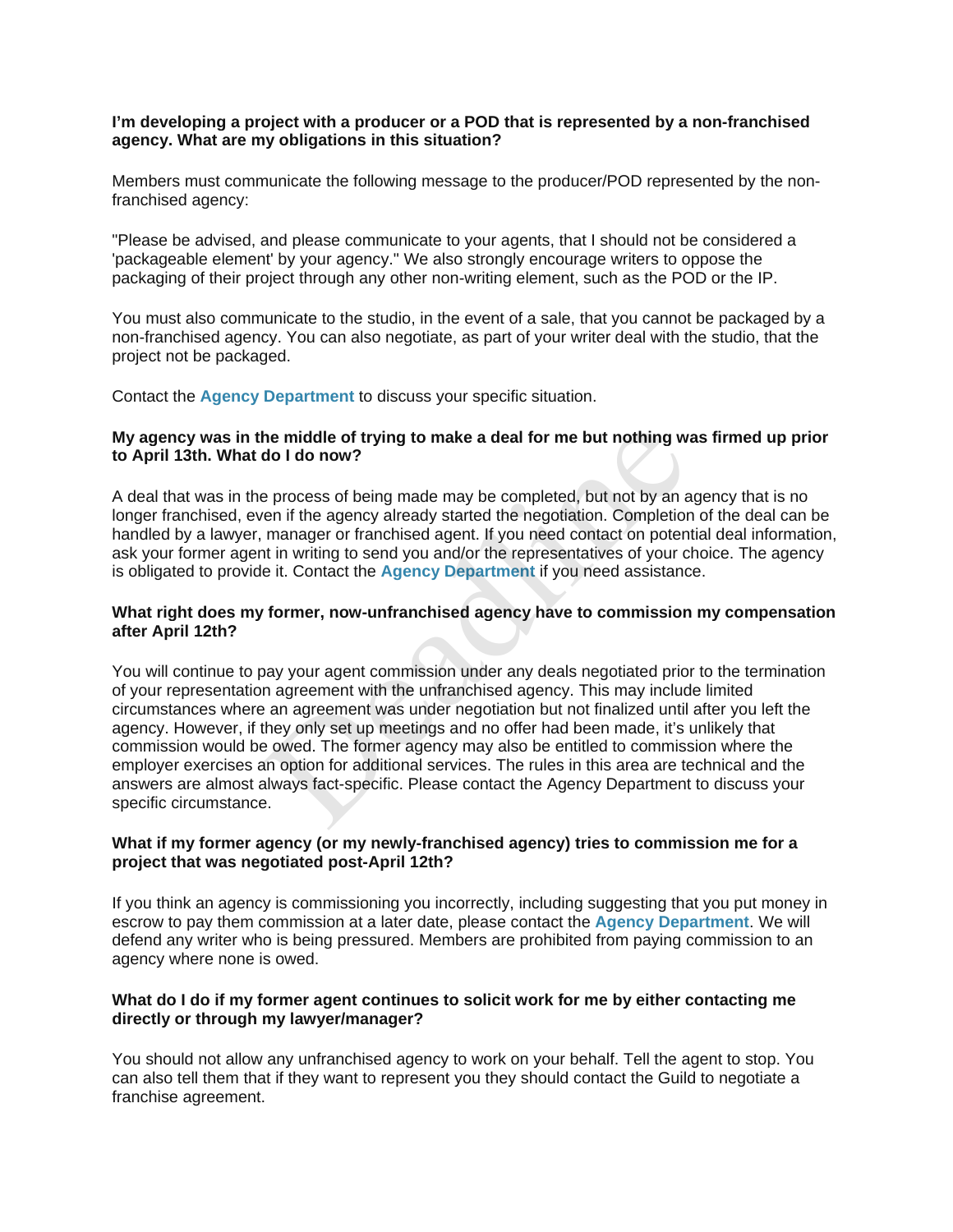## **I'm developing a project with a producer or a POD that is represented by a non-franchised agency. What are my obligations in this situation?**

Members must communicate the following message to the producer/POD represented by the nonfranchised agency:

"Please be advised, and please communicate to your agents, that I should not be considered a 'packageable element' by your agency." We also strongly encourage writers to oppose the packaging of their project through any other non-writing element, such as the POD or the IP.

You must also communicate to the studio, in the event of a sale, that you cannot be packaged by a non-franchised agency. You can also negotiate, as part of your writer deal with the studio, that the project not be packaged.

Contact the **Agency Department** to discuss your specific situation.

## **My agency was in the middle of trying to make a deal for me but nothing was firmed up prior to April 13th. What do I do now?**

A deal that was in the process of being made may be completed, but not by an agency that is no longer franchised, even if the agency already started the negotiation. Completion of the deal can be handled by a lawyer, manager or franchised agent. If you need contact on potential deal information, ask your former agent in writing to send you and/or the representatives of your choice. The agency is obligated to provide it. Contact the **Agency Department** if you need assistance.

## **What right does my former, now-unfranchised agency have to commission my compensation after April 12th?**

You will continue to pay your agent commission under any deals negotiated prior to the termination of your representation agreement with the unfranchised agency. This may include limited circumstances where an agreement was under negotiation but not finalized until after you left the agency. However, if they only set up meetings and no offer had been made, it's unlikely that commission would be owed. The former agency may also be entitled to commission where the employer exercises an option for additional services. The rules in this area are technical and the answers are almost always fact-specific. Please contact the Agency Department to discuss your specific circumstance. the middle of trying to make a deal for me but nothing w.<br>
do I do now?<br>
a process of being made may be completed, but not by an a<br>
en if the agency already started the negotiation. Completion<br>
manager or franchised agent,

# **What if my former agency (or my newly-franchised agency) tries to commission me for a project that was negotiated post-April 12th?**

If you think an agency is commissioning you incorrectly, including suggesting that you put money in escrow to pay them commission at a later date, please contact the **Agency Department**. We will defend any writer who is being pressured. Members are prohibited from paying commission to an agency where none is owed.

# **What do I do if my former agent continues to solicit work for me by either contacting me directly or through my lawyer/manager?**

You should not allow any unfranchised agency to work on your behalf. Tell the agent to stop. You can also tell them that if they want to represent you they should contact the Guild to negotiate a franchise agreement.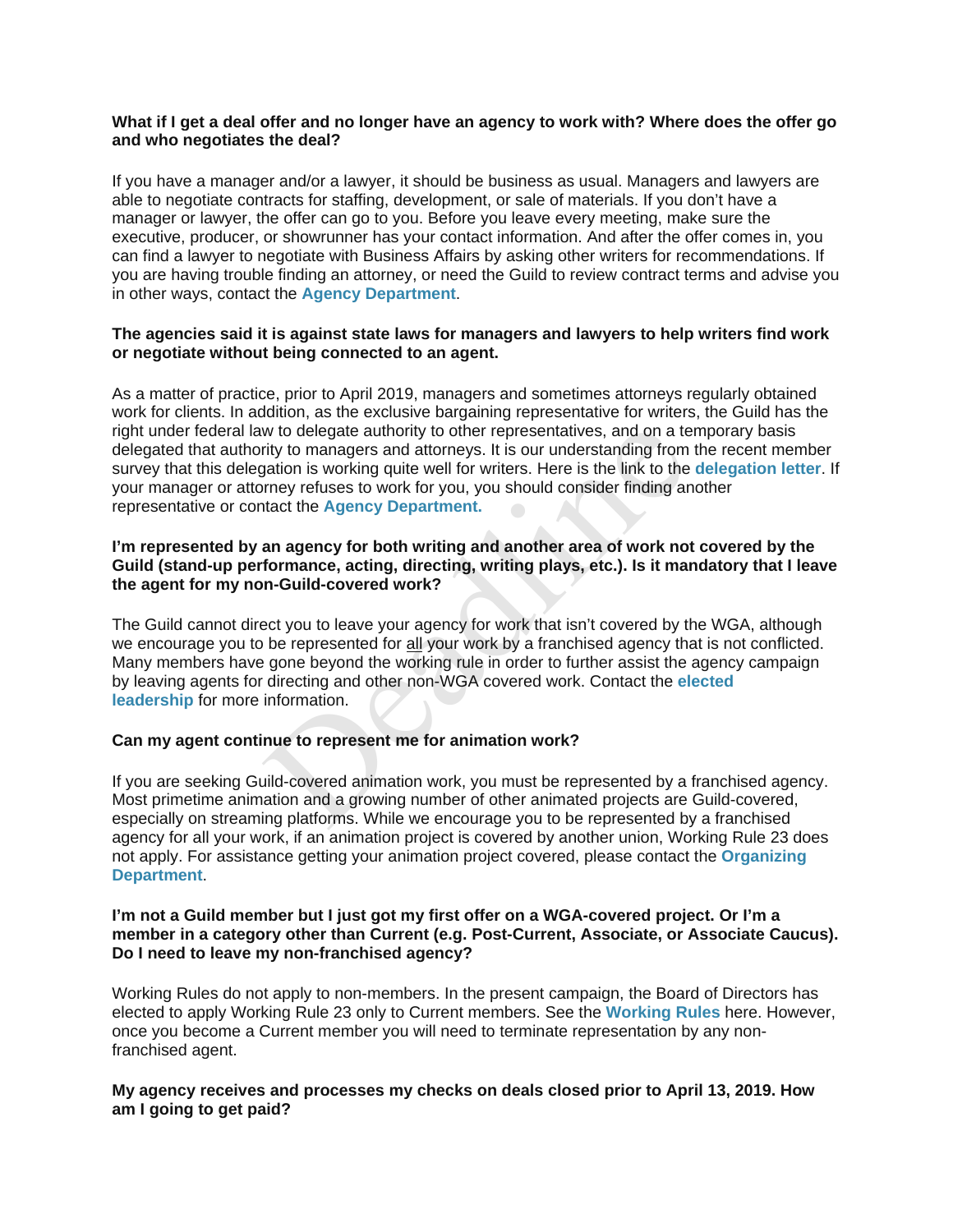## **What if I get a deal offer and no longer have an agency to work with? Where does the offer go and who negotiates the deal?**

If you have a manager and/or a lawyer, it should be business as usual. Managers and lawyers are able to negotiate contracts for staffing, development, or sale of materials. If you don't have a manager or lawyer, the offer can go to you. Before you leave every meeting, make sure the executive, producer, or showrunner has your contact information. And after the offer comes in, you can find a lawyer to negotiate with Business Affairs by asking other writers for recommendations. If you are having trouble finding an attorney, or need the Guild to review contract terms and advise you in other ways, contact the **Agency Department**.

## **The agencies said it is against state laws for managers and lawyers to help writers find work or negotiate without being connected to an agent.**

As a matter of practice, prior to April 2019, managers and sometimes attorneys regularly obtained work for clients. In addition, as the exclusive bargaining representative for writers, the Guild has the right under federal law to delegate authority to other representatives, and on a temporary basis delegated that authority to managers and attorneys. It is our understanding from the recent member survey that this delegation is working quite well for writers. Here is the link to the **delegation letter**. If your manager or attorney refuses to work for you, you should consider finding another representative or contact the **Agency Department.**

## **I'm represented by an agency for both writing and another area of work not covered by the Guild (stand-up performance, acting, directing, writing plays, etc.). Is it mandatory that I leave the agent for my non-Guild-covered work?**

The Guild cannot direct you to leave your agency for work that isn't covered by the WGA, although we encourage you to be represented for all your work by a franchised agency that is not conflicted. Many members have gone beyond the working rule in order to further assist the agency campaign by leaving agents for directing and other non-WGA covered work. Contact the **elected leadership** for more information. w to delegate authority to other representatives, and on a term white that the mass and attorneys. It is our understanding from a sorthing quite well for writters. Here is the link to the mentrey refuses to work for you, y

# **Can my agent continue to represent me for animation work?**

If you are seeking Guild-covered animation work, you must be represented by a franchised agency. Most primetime animation and a growing number of other animated projects are Guild-covered, especially on streaming platforms. While we encourage you to be represented by a franchised agency for all your work, if an animation project is covered by another union, Working Rule 23 does not apply. For assistance getting your animation project covered, please contact the **Organizing Department**.

#### **I'm not a Guild member but I just got my first offer on a WGA-covered project. Or I'm a member in a category other than Current (e.g. Post-Current, Associate, or Associate Caucus). Do I need to leave my non-franchised agency?**

Working Rules do not apply to non-members. In the present campaign, the Board of Directors has elected to apply Working Rule 23 only to Current members. See the **Working Rules** here. However, once you become a Current member you will need to terminate representation by any nonfranchised agent.

## **My agency receives and processes my checks on deals closed prior to April 13, 2019. How am I going to get paid?**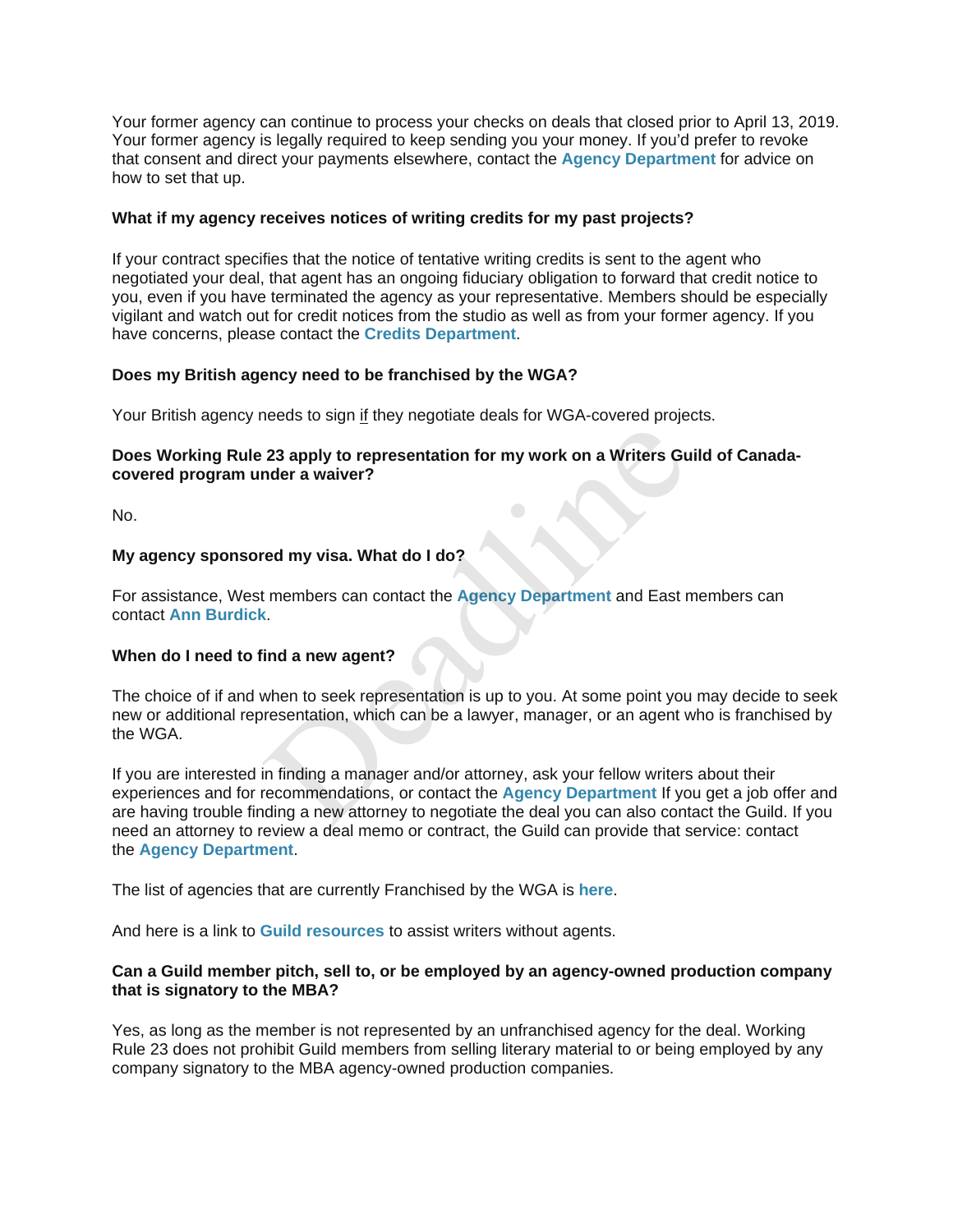Your former agency can continue to process your checks on deals that closed prior to April 13, 2019. Your former agency is legally required to keep sending you your money. If you'd prefer to revoke that consent and direct your payments elsewhere, contact the **Agency Department** for advice on how to set that up.

# **What if my agency receives notices of writing credits for my past projects?**

If your contract specifies that the notice of tentative writing credits is sent to the agent who negotiated your deal, that agent has an ongoing fiduciary obligation to forward that credit notice to you, even if you have terminated the agency as your representative. Members should be especially vigilant and watch out for credit notices from the studio as well as from your former agency. If you have concerns, please contact the **Credits Department**.

## **Does my British agency need to be franchised by the WGA?**

Your British agency needs to sign if they negotiate deals for WGA-covered projects.

# **Does Working Rule 23 apply to representation for my work on a Writers Guild of Canadacovered program under a waiver?**

No.

## **My agency sponsored my visa. What do I do?**

For assistance, West members can contact the **Agency Department** and East members can contact **Ann Burdick**.

#### **When do I need to find a new agent?**

The choice of if and when to seek representation is up to you. At some point you may decide to seek new or additional representation, which can be a lawyer, manager, or an agent who is franchised by the WGA.

If you are interested in finding a manager and/or attorney, ask your fellow writers about their experiences and for recommendations, or contact the **Agency Department** If you get a job offer and are having trouble finding a new attorney to negotiate the deal you can also contact the Guild. If you need an attorney to review a deal memo or contract, the Guild can provide that service: contact the **Agency Department**. 23 apply to representation for my work on a Writers Gunder a waiver?<br>
ed my visa. What do I do?<br>
t members can contact the Agency Department and East r<br>
state of the Agency Department and East r<br>
then to seek representatio

The list of agencies that are currently Franchised by the WGA is **here**.

And here is a link to **Guild resources** to assist writers without agents.

## **Can a Guild member pitch, sell to, or be employed by an agency-owned production company that is signatory to the MBA?**

Yes, as long as the member is not represented by an unfranchised agency for the deal. Working Rule 23 does not prohibit Guild members from selling literary material to or being employed by any company signatory to the MBA agency-owned production companies.